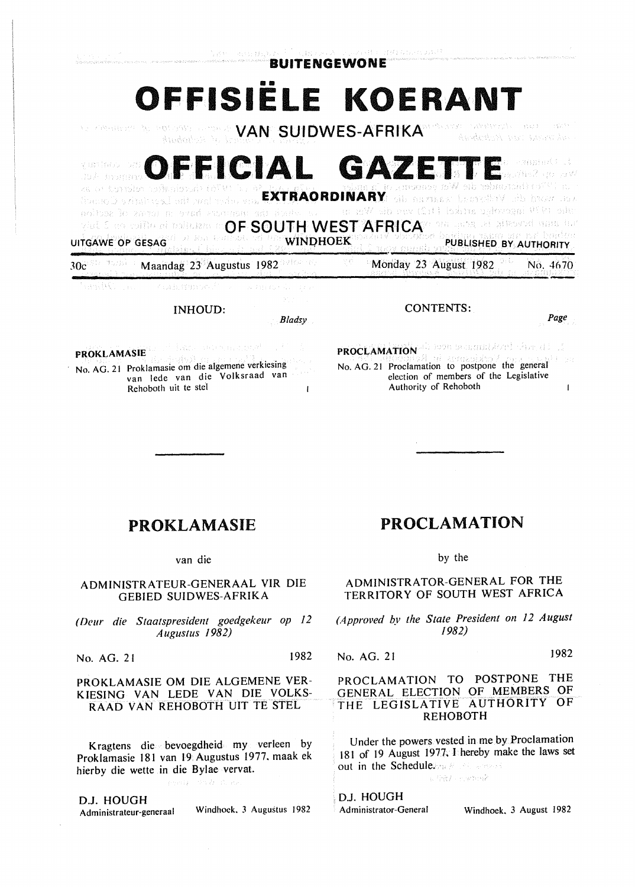Roberts

**COFFICIAL GAZETTE** CARACTER viente au mi waane EXTRAORDINARY SERVICE SERVICE SERVICE SERVICE SERVICE SERVICE SERVICE SERVICE SERVICE SERVICE SERVICE SERVICE<br>EXTRAORDinary of the service service service service service service service service service service service s ulo (V)<sup>q</sup> incovoho mtké [11]) vna die Wern noltex le zanti a trad sunicati a **VIDE E ROUDED AL DOMESTICATE AND SOLUTH WEST AFRICATE OF A REGISTER AND ACT OF A REGISTER AND ALL PROPERTY AND** UITGAWE OP GESAG AND DELLA BELLEVILLE PUBLISHED BY AUTHORITY 30c Starting Maandag 23 Augustus 1982 2016 19 Monday 23 August 1982 No. 4670 versite Communist

INHOUD:

*Bladsy* 

FROKLAMASIE Ac. C No. AG. 21 Proklamasie om die algemene verkiesing van lede van die Volksraad van Rehoboth uit te stel  $\mathbf{I}$  PROCLAMATION als non-securinational cheating No. AG. 21 Proclamation to postpone the general election of members of the Legislative Authority of Rehoboth  $\mathbf{I}$ 

CONTENTS:

## PROKLAMASIE

van die

ADMINISTRATEUR-GENERAAL VIR DIE GEBIED SUIDWES-AFRIKA

*( Deur die Staatspresident goedgekeur op 12 Augustus 1982)* 

No. AG. 21 1982

PROKLAMASIE OM DIE ALGEMENE VER-KIESING VAN LEDE VAN DIE VOLKS-RAAD VAN REHOBOTH UIT TE STEL

Kragtens die bevoegdheid my verleen by Proklamasie 181 van 19 Augustus 1977. maak ek hierby die wette in die Bylae vervat.

anyda milla di en-

D.J. HOUGH Administrateur-generaal Windhoek. 3 Augustus 1982

## PROCLAMATION

by the

ADMINISTRATOR-GENERAL FOR THE TERRITORY OF SOUTH WEST AFRICA

*(Approved by the State President on 12 August 1982)* 

No. AG. 21 1982

## PROCLAMATION TO POSTPONE THE GENERAL ELECTION OF MEMBERS OF THE LEGISLATIVE AUTHORITY OF REHOBOTH

Under the powers. vested in me by .Proclamation 181 of 19 August 1977, I hereby make the laws set out in the Schedule.  $\mathbb{R}^n$  is the second  $\mathbb{R}^n$  in the second  $\mathbb{R}^n$ 

DJ. HOUGH

Administrator-General Windhoek, 3 August 1982

*Page*